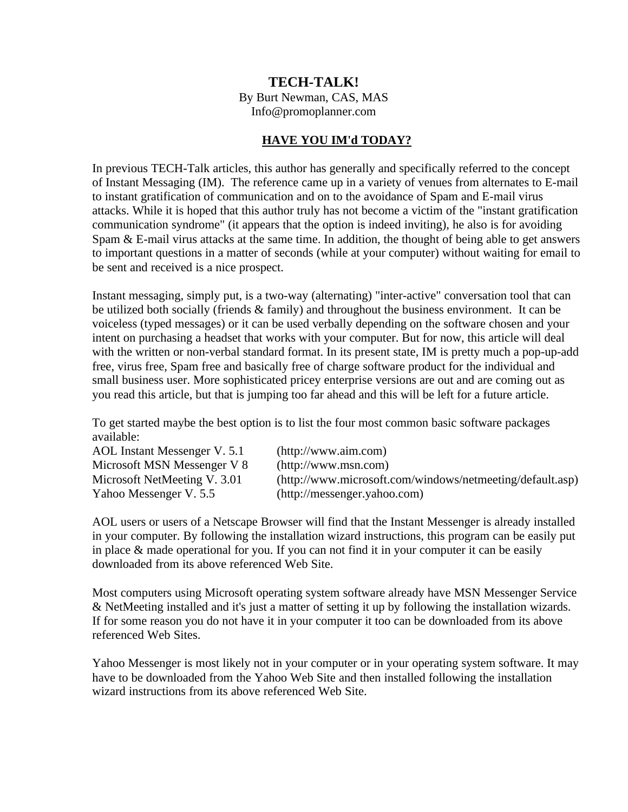## **TECH-TALK!**

By Burt Newman, CAS, MAS

Info@promoplanner.com

## **HAVE YOU IM'd TODAY?**

In previous TECH-Talk articles, this author has generally and specifically referred to the concept of Instant Messaging (IM). The reference came up in a variety of venues from alternates to E-mail to instant gratification of communication and on to the avoidance of Spam and E-mail virus attacks. While it is hoped that this author truly has not become a victim of the "instant gratification communication syndrome" (it appears that the option is indeed inviting), he also is for avoiding Spam & E-mail virus attacks at the same time. In addition, the thought of being able to get answers to important questions in a matter of seconds (while at your computer) without waiting for email to be sent and received is a nice prospect.

Instant messaging, simply put, is a two-way (alternating) "inter-active" conversation tool that can be utilized both socially (friends & family) and throughout the business environment. It can be voiceless (typed messages) or it can be used verbally depending on the software chosen and your intent on purchasing a headset that works with your computer. But for now, this article will deal with the written or non-verbal standard format. In its present state, IM is pretty much a pop-up-add free, virus free, Spam free and basically free of charge software product for the individual and small business user. More sophisticated pricey enterprise versions are out and are coming out as you read this article, but that is jumping too far ahead and this will be left for a future article.

To get started maybe the best option is to list the four most common basic software packages available:

| AOL Instant Messenger V. 5.1 | (http://www.aim.com)                                      |
|------------------------------|-----------------------------------------------------------|
| Microsoft MSN Messenger V 8  | (http://www.msn.com)                                      |
| Microsoft NetMeeting V. 3.01 | (http://www.microsoft.com/windows/netmeeting/default.asp) |
| Yahoo Messenger V. 5.5       | (http://messenger.yahoo.com)                              |

AOL users or users of a Netscape Browser will find that the Instant Messenger is already installed in your computer. By following the installation wizard instructions, this program can be easily put in place & made operational for you. If you can not find it in your computer it can be easily downloaded from its above referenced Web Site.

Most computers using Microsoft operating system software already have MSN Messenger Service & NetMeeting installed and it's just a matter of setting it up by following the installation wizards. If for some reason you do not have it in your computer it too can be downloaded from its above referenced Web Sites.

Yahoo Messenger is most likely not in your computer or in your operating system software. It may have to be downloaded from the Yahoo Web Site and then installed following the installation wizard instructions from its above referenced Web Site.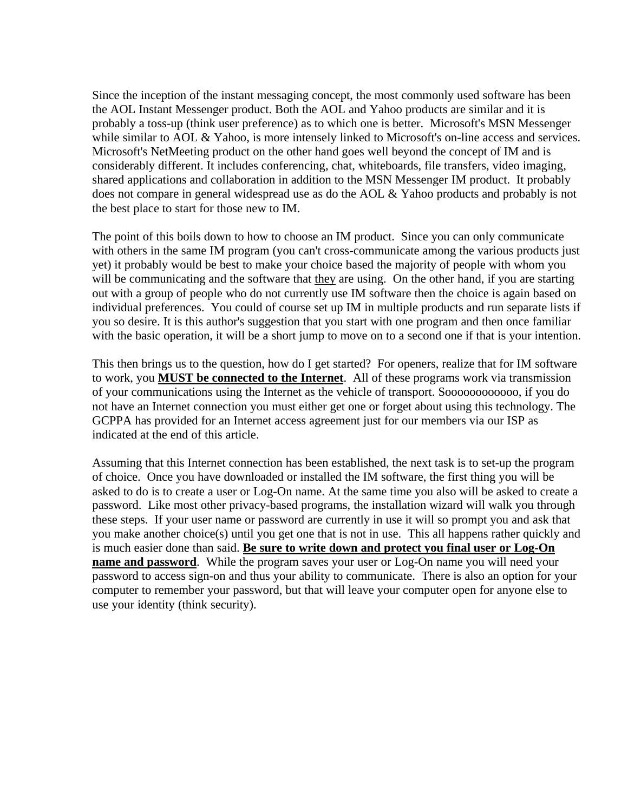Since the inception of the instant messaging concept, the most commonly used software has been the AOL Instant Messenger product. Both the AOL and Yahoo products are similar and it is probably a toss-up (think user preference) as to which one is better. Microsoft's MSN Messenger while similar to AOL & Yahoo, is more intensely linked to Microsoft's on-line access and services. Microsoft's NetMeeting product on the other hand goes well beyond the concept of IM and is considerably different. It includes conferencing, chat, whiteboards, file transfers, video imaging, shared applications and collaboration in addition to the MSN Messenger IM product. It probably does not compare in general widespread use as do the AOL & Yahoo products and probably is not the best place to start for those new to IM.

The point of this boils down to how to choose an IM product. Since you can only communicate with others in the same IM program (you can't cross-communicate among the various products just yet) it probably would be best to make your choice based the majority of people with whom you will be communicating and the software that they are using. On the other hand, if you are starting out with a group of people who do not currently use IM software then the choice is again based on individual preferences. You could of course set up IM in multiple products and run separate lists if you so desire. It is this author's suggestion that you start with one program and then once familiar with the basic operation, it will be a short jump to move on to a second one if that is your intention.

This then brings us to the question, how do I get started? For openers, realize that for IM software to work, you **MUST be connected to the Internet**. All of these programs work via transmission of your communications using the Internet as the vehicle of transport. Soooooooooooo, if you do not have an Internet connection you must either get one or forget about using this technology. The GCPPA has provided for an Internet access agreement just for our members via our ISP as indicated at the end of this article.

Assuming that this Internet connection has been established, the next task is to set-up the program of choice. Once you have downloaded or installed the IM software, the first thing you will be asked to do is to create a user or Log-On name. At the same time you also will be asked to create a password. Like most other privacy-based programs, the installation wizard will walk you through these steps. If your user name or password are currently in use it will so prompt you and ask that you make another choice(s) until you get one that is not in use. This all happens rather quickly and is much easier done than said. **Be sure to write down and protect you final user or Log-On name and password**. While the program saves your user or Log-On name you will need your password to access sign-on and thus your ability to communicate. There is also an option for your computer to remember your password, but that will leave your computer open for anyone else to use your identity (think security).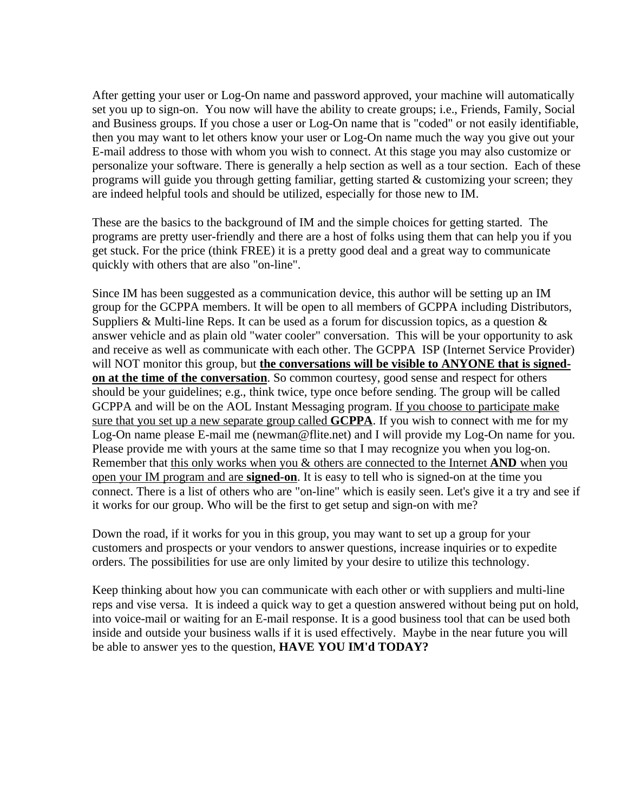After getting your user or Log-On name and password approved, your machine will automatically set you up to sign-on. You now will have the ability to create groups; i.e., Friends, Family, Social and Business groups. If you chose a user or Log-On name that is "coded" or not easily identifiable, then you may want to let others know your user or Log-On name much the way you give out your E-mail address to those with whom you wish to connect. At this stage you may also customize or personalize your software. There is generally a help section as well as a tour section. Each of these programs will guide you through getting familiar, getting started & customizing your screen; they are indeed helpful tools and should be utilized, especially for those new to IM.

These are the basics to the background of IM and the simple choices for getting started. The programs are pretty user-friendly and there are a host of folks using them that can help you if you get stuck. For the price (think FREE) it is a pretty good deal and a great way to communicate quickly with others that are also "on-line".

Since IM has been suggested as a communication device, this author will be setting up an IM group for the GCPPA members. It will be open to all members of GCPPA including Distributors, Suppliers & Multi-line Reps. It can be used as a forum for discussion topics, as a question  $\&$ answer vehicle and as plain old "water cooler" conversation. This will be your opportunity to ask and receive as well as communicate with each other. The GCPPA ISP (Internet Service Provider) will NOT monitor this group, but **the conversations will be visible to ANYONE that is signedon at the time of the conversation**. So common courtesy, good sense and respect for others should be your guidelines; e.g., think twice, type once before sending. The group will be called GCPPA and will be on the AOL Instant Messaging program. If you choose to participate make sure that you set up a new separate group called **GCPPA**. If you wish to connect with me for my Log-On name please E-mail me (newman@flite.net) and I will provide my Log-On name for you. Please provide me with yours at the same time so that I may recognize you when you log-on. Remember that this only works when you & others are connected to the Internet **AND** when you open your IM program and are **signed-on**. It is easy to tell who is signed-on at the time you connect. There is a list of others who are "on-line" which is easily seen. Let's give it a try and see if it works for our group. Who will be the first to get setup and sign-on with me?

Down the road, if it works for you in this group, you may want to set up a group for your customers and prospects or your vendors to answer questions, increase inquiries or to expedite orders. The possibilities for use are only limited by your desire to utilize this technology.

Keep thinking about how you can communicate with each other or with suppliers and multi-line reps and vise versa. It is indeed a quick way to get a question answered without being put on hold, into voice-mail or waiting for an E-mail response. It is a good business tool that can be used both inside and outside your business walls if it is used effectively. Maybe in the near future you will be able to answer yes to the question, **HAVE YOU IM'd TODAY?**